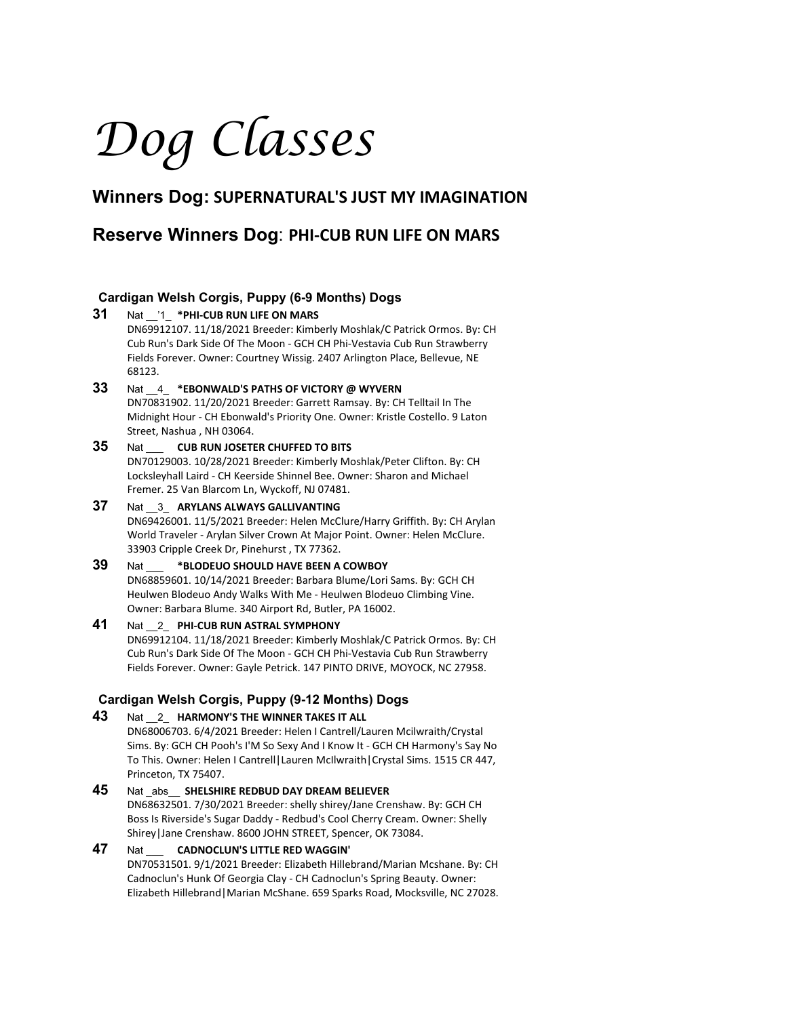# *Dog Classes*

# **Winners Dog: SUPERNATURAL'S JUST MY IMAGINATION**

# **Reserve Winners Dog**: **PHI-CUB RUN LIFE ON MARS**

## **Cardigan Welsh Corgis, Puppy (6-9 Months) Dogs**

**31** Nat \_\_'1\_ **\*PHI-CUB RUN LIFE ON MARS** DN69912107. 11/18/2021 Breeder: Kimberly Moshlak/C Patrick Ormos. By: CH Cub Run's Dark Side Of The Moon - GCH CH Phi-Vestavia Cub Run Strawberry Fields Forever. Owner: Courtney Wissig. 2407 Arlington Place, Bellevue, NE 68123.

#### **33** Nat \_\_4\_ **\*EBONWALD'S PATHS OF VICTORY @ WYVERN** DN70831902. 11/20/2021 Breeder: Garrett Ramsay. By: CH Telltail In The

Midnight Hour - CH Ebonwald's Priority One. Owner: Kristle Costello. 9 Laton Street, Nashua , NH 03064.

- **35** Nat \_\_\_ **CUB RUN JOSETER CHUFFED TO BITS** DN70129003. 10/28/2021 Breeder: Kimberly Moshlak/Peter Clifton. By: CH Locksleyhall Laird - CH Keerside Shinnel Bee. Owner: Sharon and Michael Fremer. 25 Van Blarcom Ln, Wyckoff, NJ 07481.
- **37** Nat \_\_3\_ **ARYLANS ALWAYS GALLIVANTING** DN69426001. 11/5/2021 Breeder: Helen McClure/Harry Griffith. By: CH Arylan World Traveler - Arylan Silver Crown At Major Point. Owner: Helen McClure. 33903 Cripple Creek Dr, Pinehurst , TX 77362.
- **39** Nat \_\_\_ **\*BLODEUO SHOULD HAVE BEEN A COWBOY** DN68859601. 10/14/2021 Breeder: Barbara Blume/Lori Sams. By: GCH CH Heulwen Blodeuo Andy Walks With Me - Heulwen Blodeuo Climbing Vine. Owner: Barbara Blume. 340 Airport Rd, Butler, PA 16002.

## **41** Nat \_\_2\_ **PHI-CUB RUN ASTRAL SYMPHONY** DN69912104. 11/18/2021 Breeder: Kimberly Moshlak/C Patrick Ormos. By: CH Cub Run's Dark Side Of The Moon - GCH CH Phi-Vestavia Cub Run Strawberry Fields Forever. Owner: Gayle Petrick. 147 PINTO DRIVE, MOYOCK, NC 27958.

## **Cardigan Welsh Corgis, Puppy (9-12 Months) Dogs**

- **43** Nat \_\_2\_ **HARMONY'S THE WINNER TAKES IT ALL** DN68006703. 6/4/2021 Breeder: Helen I Cantrell/Lauren Mcilwraith/Crystal Sims. By: GCH CH Pooh's I'M So Sexy And I Know It - GCH CH Harmony's Say No To This. Owner: Helen I Cantrell|Lauren McIlwraith|Crystal Sims. 1515 CR 447, Princeton, TX 75407.
- **45** Nat \_abs\_\_ **SHELSHIRE REDBUD DAY DREAM BELIEVER** DN68632501. 7/30/2021 Breeder: shelly shirey/Jane Crenshaw. By: GCH CH Boss Is Riverside's Sugar Daddy - Redbud's Cool Cherry Cream. Owner: Shelly Shirey|Jane Crenshaw. 8600 JOHN STREET, Spencer, OK 73084.

#### **47** Nat \_\_\_ **CADNOCLUN'S LITTLE RED WAGGIN'** DN70531501. 9/1/2021 Breeder: Elizabeth Hillebrand/Marian Mcshane. By: CH Cadnoclun's Hunk Of Georgia Clay - CH Cadnoclun's Spring Beauty. Owner: Elizabeth Hillebrand|Marian McShane. 659 Sparks Road, Mocksville, NC 27028.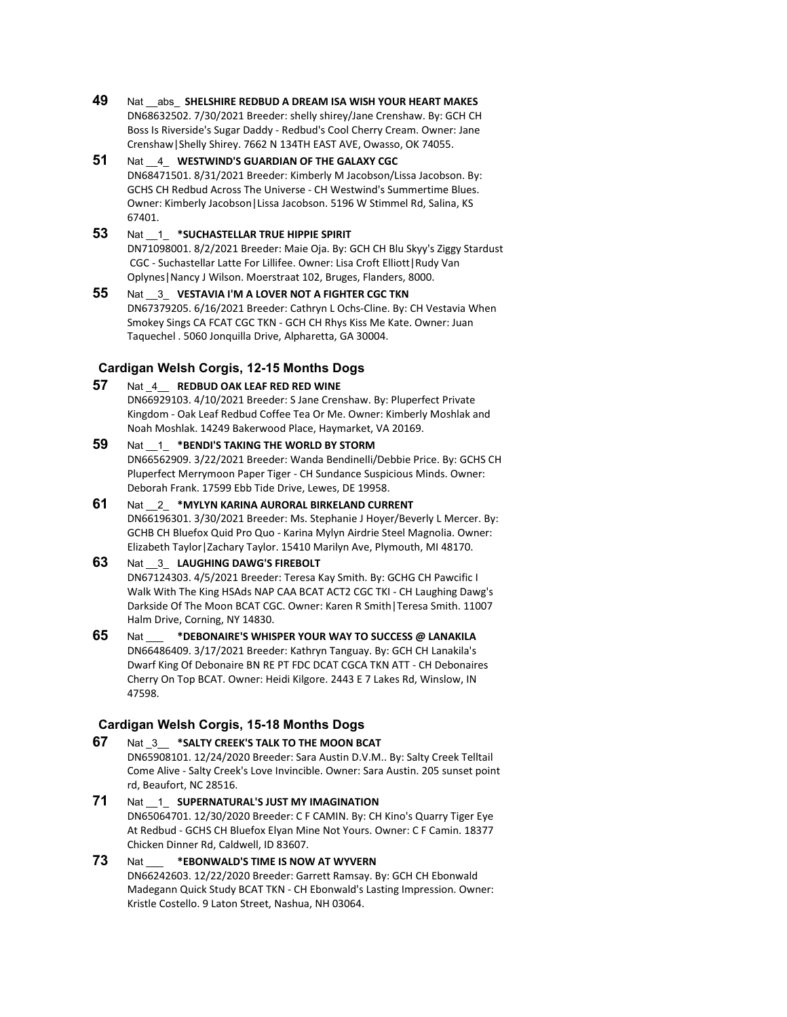- **49** Nat \_\_abs\_ **SHELSHIRE REDBUD A DREAM ISA WISH YOUR HEART MAKES** DN68632502. 7/30/2021 Breeder: shelly shirey/Jane Crenshaw. By: GCH CH Boss Is Riverside's Sugar Daddy - Redbud's Cool Cherry Cream. Owner: Jane Crenshaw|Shelly Shirey. 7662 N 134TH EAST AVE, Owasso, OK 74055.
- **51** Nat \_\_4\_ **WESTWIND'S GUARDIAN OF THE GALAXY CGC** DN68471501. 8/31/2021 Breeder: Kimberly M Jacobson/Lissa Jacobson. By: GCHS CH Redbud Across The Universe - CH Westwind's Summertime Blues. Owner: Kimberly Jacobson|Lissa Jacobson. 5196 W Stimmel Rd, Salina, KS 67401.

## **53** Nat \_\_1\_ **\*SUCHASTELLAR TRUE HIPPIE SPIRIT** DN71098001. 8/2/2021 Breeder: Maie Oja. By: GCH CH Blu Skyy's Ziggy Stardust CGC - Suchastellar Latte For Lillifee. Owner: Lisa Croft Elliott|Rudy Van Oplynes|Nancy J Wilson. Moerstraat 102, Bruges, Flanders, 8000.

**55** Nat \_\_3\_ **VESTAVIA I'M A LOVER NOT A FIGHTER CGC TKN** DN67379205. 6/16/2021 Breeder: Cathryn L Ochs-Cline. By: CH Vestavia When Smokey Sings CA FCAT CGC TKN - GCH CH Rhys Kiss Me Kate. Owner: Juan Taquechel . 5060 Jonquilla Drive, Alpharetta, GA 30004.

## **Cardigan Welsh Corgis, 12-15 Months Dogs**

- **57** Nat \_4\_\_ **REDBUD OAK LEAF RED RED WINE** DN66929103. 4/10/2021 Breeder: S Jane Crenshaw. By: Pluperfect Private Kingdom - Oak Leaf Redbud Coffee Tea Or Me. Owner: Kimberly Moshlak and Noah Moshlak. 14249 Bakerwood Place, Haymarket, VA 20169.
- **59** Nat \_\_1\_ **\*BENDI'S TAKING THE WORLD BY STORM** DN66562909. 3/22/2021 Breeder: Wanda Bendinelli/Debbie Price. By: GCHS CH Pluperfect Merrymoon Paper Tiger - CH Sundance Suspicious Minds. Owner: Deborah Frank. 17599 Ebb Tide Drive, Lewes, DE 19958.
- **61** Nat \_\_2\_ **\*MYLYN KARINA AURORAL BIRKELAND CURRENT** DN66196301. 3/30/2021 Breeder: Ms. Stephanie J Hoyer/Beverly L Mercer. By: GCHB CH Bluefox Quid Pro Quo - Karina Mylyn Airdrie Steel Magnolia. Owner: Elizabeth Taylor|Zachary Taylor. 15410 Marilyn Ave, Plymouth, MI 48170.

## **63** Nat \_\_3\_ **LAUGHING DAWG'S FIREBOLT**

DN67124303. 4/5/2021 Breeder: Teresa Kay Smith. By: GCHG CH Pawcific I Walk With The King HSAds NAP CAA BCAT ACT2 CGC TKI - CH Laughing Dawg's Darkside Of The Moon BCAT CGC. Owner: Karen R Smith|Teresa Smith. 11007 Halm Drive, Corning, NY 14830.

**65** Nat \_\_\_ **\*DEBONAIRE'S WHISPER YOUR WAY TO SUCCESS @ LANAKILA** DN66486409. 3/17/2021 Breeder: Kathryn Tanguay. By: GCH CH Lanakila's Dwarf King Of Debonaire BN RE PT FDC DCAT CGCA TKN ATT - CH Debonaires Cherry On Top BCAT. Owner: Heidi Kilgore. 2443 E 7 Lakes Rd, Winslow, IN 47598.

## **Cardigan Welsh Corgis, 15-18 Months Dogs**

- **67** Nat \_3\_\_ **\*SALTY CREEK'S TALK TO THE MOON BCAT** DN65908101. 12/24/2020 Breeder: Sara Austin D.V.M.. By: Salty Creek Telltail Come Alive - Salty Creek's Love Invincible. Owner: Sara Austin. 205 sunset point rd, Beaufort, NC 28516.
- **71** Nat \_\_1\_ **SUPERNATURAL'S JUST MY IMAGINATION** DN65064701. 12/30/2020 Breeder: C F CAMIN. By: CH Kino's Quarry Tiger Eye At Redbud - GCHS CH Bluefox Elyan Mine Not Yours. Owner: C F Camin. 18377 Chicken Dinner Rd, Caldwell, ID 83607.
- **73** Nat \_\_\_ **\*EBONWALD'S TIME IS NOW AT WYVERN** DN66242603. 12/22/2020 Breeder: Garrett Ramsay. By: GCH CH Ebonwald Madegann Quick Study BCAT TKN - CH Ebonwald's Lasting Impression. Owner: Kristle Costello. 9 Laton Street, Nashua, NH 03064.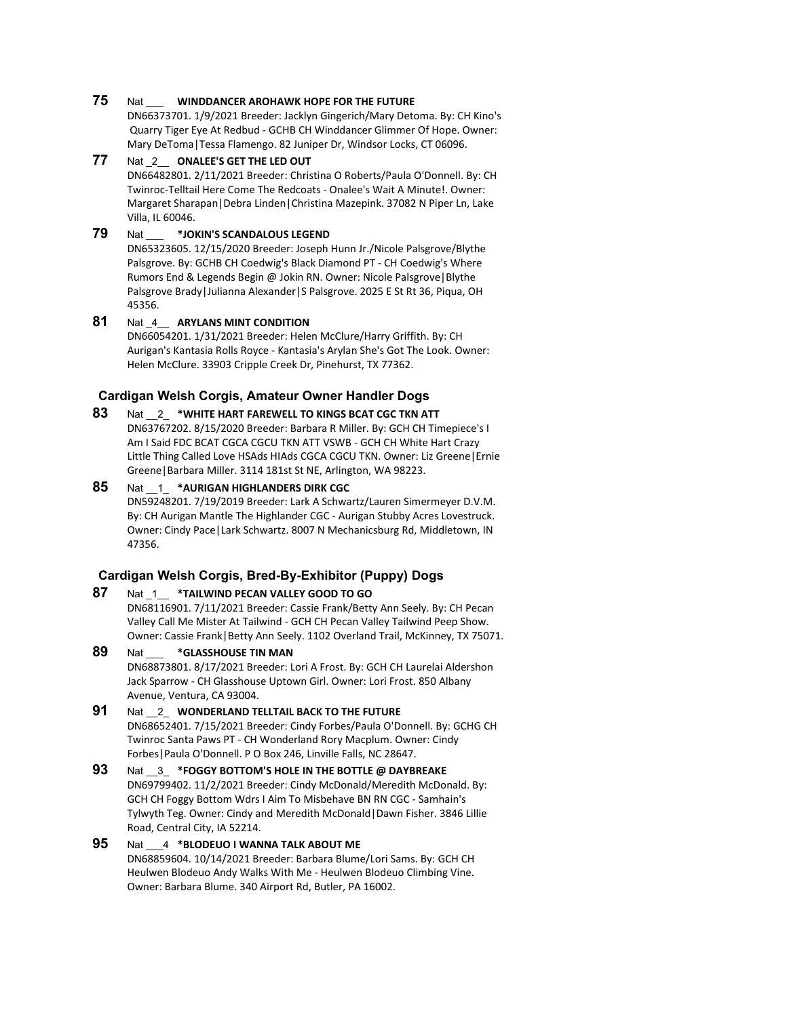## **75** Nat \_\_\_ **WINDDANCER AROHAWK HOPE FOR THE FUTURE**

DN66373701. 1/9/2021 Breeder: Jacklyn Gingerich/Mary Detoma. By: CH Kino's Quarry Tiger Eye At Redbud - GCHB CH Winddancer Glimmer Of Hope. Owner: Mary DeToma|Tessa Flamengo. 82 Juniper Dr, Windsor Locks, CT 06096.

#### **77** Nat \_2\_\_ **ONALEE'S GET THE LED OUT** DN66482801. 2/11/2021 Breeder: Christina O Roberts/Paula O'Donnell. By: CH Twinroc-Telltail Here Come The Redcoats - Onalee's Wait A Minute!. Owner: Margaret Sharapan|Debra Linden|Christina Mazepink. 37082 N Piper Ln, Lake Villa, IL 60046.

## **79** Nat \_\_\_ **\*JOKIN'S SCANDALOUS LEGEND**

DN65323605. 12/15/2020 Breeder: Joseph Hunn Jr./Nicole Palsgrove/Blythe Palsgrove. By: GCHB CH Coedwig's Black Diamond PT - CH Coedwig's Where Rumors End & Legends Begin @ Jokin RN. Owner: Nicole Palsgrove|Blythe Palsgrove Brady|Julianna Alexander|S Palsgrove. 2025 E St Rt 36, Piqua, OH 45356.

## **81** Nat \_4\_\_ **ARYLANS MINT CONDITION** DN66054201. 1/31/2021 Breeder: Helen McClure/Harry Griffith. By: CH Aurigan's Kantasia Rolls Royce - Kantasia's Arylan She's Got The Look. Owner: Helen McClure. 33903 Cripple Creek Dr, Pinehurst, TX 77362.

## **Cardigan Welsh Corgis, Amateur Owner Handler Dogs**

**83** Nat \_\_2\_ **\*WHITE HART FAREWELL TO KINGS BCAT CGC TKN ATT** DN63767202. 8/15/2020 Breeder: Barbara R Miller. By: GCH CH Timepiece's I Am I Said FDC BCAT CGCA CGCU TKN ATT VSWB - GCH CH White Hart Crazy Little Thing Called Love HSAds HIAds CGCA CGCU TKN. Owner: Liz Greene|Ernie Greene|Barbara Miller. 3114 181st St NE, Arlington, WA 98223.

## **85** Nat \_\_1\_ **\*AURIGAN HIGHLANDERS DIRK CGC** DN59248201. 7/19/2019 Breeder: Lark A Schwartz/Lauren Simermeyer D.V.M. By: CH Aurigan Mantle The Highlander CGC - Aurigan Stubby Acres Lovestruck. Owner: Cindy Pace|Lark Schwartz. 8007 N Mechanicsburg Rd, Middletown, IN 47356.

## **Cardigan Welsh Corgis, Bred-By-Exhibitor (Puppy) Dogs**

## **87** Nat \_1\_\_ **\*TAILWIND PECAN VALLEY GOOD TO GO**

DN68116901. 7/11/2021 Breeder: Cassie Frank/Betty Ann Seely. By: CH Pecan Valley Call Me Mister At Tailwind - GCH CH Pecan Valley Tailwind Peep Show. Owner: Cassie Frank|Betty Ann Seely. 1102 Overland Trail, McKinney, TX 75071.

## **89** Nat \_\_\_ **\*GLASSHOUSE TIN MAN**

DN68873801. 8/17/2021 Breeder: Lori A Frost. By: GCH CH Laurelai Aldershon Jack Sparrow - CH Glasshouse Uptown Girl. Owner: Lori Frost. 850 Albany Avenue, Ventura, CA 93004.

#### **91** Nat \_\_2\_ **WONDERLAND TELLTAIL BACK TO THE FUTURE** DN68652401. 7/15/2021 Breeder: Cindy Forbes/Paula O'Donnell. By: GCHG CH Twinroc Santa Paws PT - CH Wonderland Rory Macplum. Owner: Cindy Forbes|Paula O'Donnell. P O Box 246, Linville Falls, NC 28647.

#### **93** Nat \_\_3\_ **\*FOGGY BOTTOM'S HOLE IN THE BOTTLE @ DAYBREAKE** DN69799402. 11/2/2021 Breeder: Cindy McDonald/Meredith McDonald. By: GCH CH Foggy Bottom Wdrs I Aim To Misbehave BN RN CGC - Samhain's Tylwyth Teg. Owner: Cindy and Meredith McDonald|Dawn Fisher. 3846 Lillie Road, Central City, IA 52214.

## **95** Nat \_\_\_4 **\*BLODEUO I WANNA TALK ABOUT ME**

DN68859604. 10/14/2021 Breeder: Barbara Blume/Lori Sams. By: GCH CH Heulwen Blodeuo Andy Walks With Me - Heulwen Blodeuo Climbing Vine. Owner: Barbara Blume. 340 Airport Rd, Butler, PA 16002.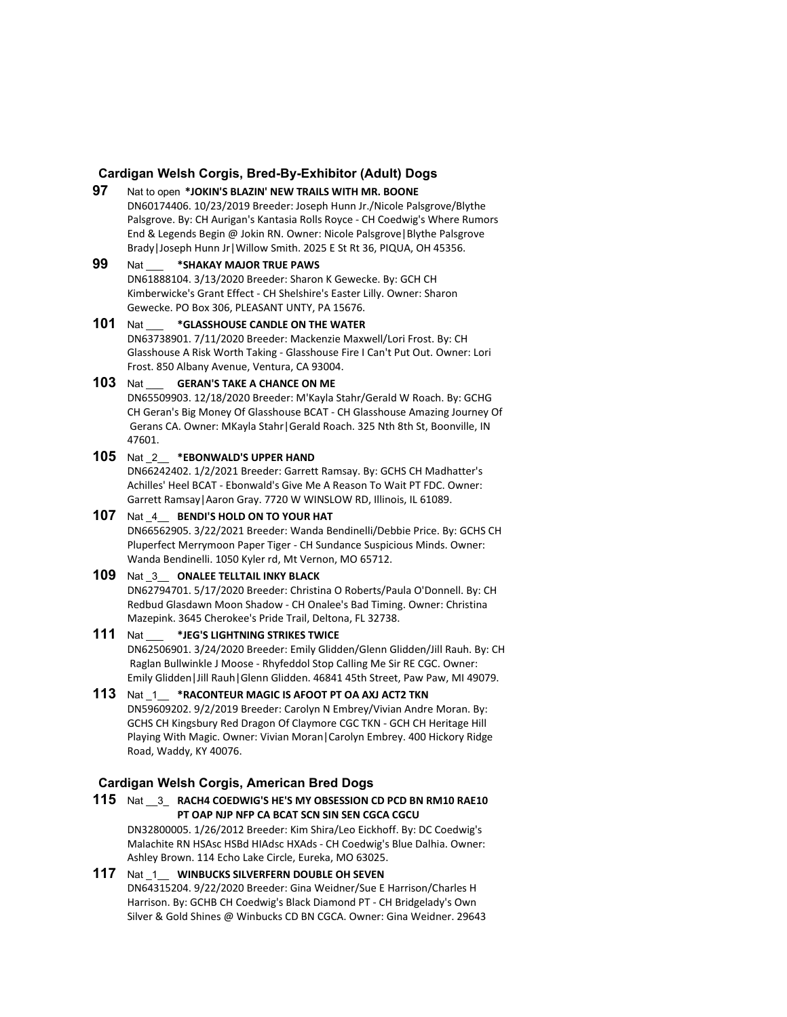## **Cardigan Welsh Corgis, Bred-By-Exhibitor (Adult) Dogs**

**97** Nat to open **\*JOKIN'S BLAZIN' NEW TRAILS WITH MR. BOONE** DN60174406. 10/23/2019 Breeder: Joseph Hunn Jr./Nicole Palsgrove/Blythe Palsgrove. By: CH Aurigan's Kantasia Rolls Royce - CH Coedwig's Where Rumors End & Legends Begin @ Jokin RN. Owner: Nicole Palsgrove|Blythe Palsgrove Brady|Joseph Hunn Jr|Willow Smith. 2025 E St Rt 36, PIQUA, OH 45356.

## **99** Nat \_\_\_ **\*SHAKAY MAJOR TRUE PAWS**

DN61888104. 3/13/2020 Breeder: Sharon K Gewecke. By: GCH CH Kimberwicke's Grant Effect - CH Shelshire's Easter Lilly. Owner: Sharon Gewecke. PO Box 306, PLEASANT UNTY, PA 15676.

#### **101** Nat \_\_\_ **\*GLASSHOUSE CANDLE ON THE WATER** DN63738901. 7/11/2020 Breeder: Mackenzie Maxwell/Lori Frost. By: CH Glasshouse A Risk Worth Taking - Glasshouse Fire I Can't Put Out. Owner: Lori Frost. 850 Albany Avenue, Ventura, CA 93004.

#### **103** Nat \_\_\_ **GERAN'S TAKE A CHANCE ON ME**

DN65509903. 12/18/2020 Breeder: M'Kayla Stahr/Gerald W Roach. By: GCHG CH Geran's Big Money Of Glasshouse BCAT - CH Glasshouse Amazing Journey Of Gerans CA. Owner: MKayla Stahr|Gerald Roach. 325 Nth 8th St, Boonville, IN 47601.

## **105** Nat \_2\_\_ **\*EBONWALD'S UPPER HAND**

DN66242402. 1/2/2021 Breeder: Garrett Ramsay. By: GCHS CH Madhatter's Achilles' Heel BCAT - Ebonwald's Give Me A Reason To Wait PT FDC. Owner: Garrett Ramsay|Aaron Gray. 7720 W WINSLOW RD, Illinois, IL 61089.

## **107** Nat \_4\_\_ **BENDI'S HOLD ON TO YOUR HAT**

DN66562905. 3/22/2021 Breeder: Wanda Bendinelli/Debbie Price. By: GCHS CH Pluperfect Merrymoon Paper Tiger - CH Sundance Suspicious Minds. Owner: Wanda Bendinelli. 1050 Kyler rd, Mt Vernon, MO 65712.

## **109** Nat \_3\_\_ **ONALEE TELLTAIL INKY BLACK**

DN62794701. 5/17/2020 Breeder: Christina O Roberts/Paula O'Donnell. By: CH Redbud Glasdawn Moon Shadow - CH Onalee's Bad Timing. Owner: Christina Mazepink. 3645 Cherokee's Pride Trail, Deltona, FL 32738.

## **111** Nat \_\_\_ **\*JEG'S LIGHTNING STRIKES TWICE**

DN62506901. 3/24/2020 Breeder: Emily Glidden/Glenn Glidden/Jill Rauh. By: CH Raglan Bullwinkle J Moose - Rhyfeddol Stop Calling Me Sir RE CGC. Owner: Emily Glidden|Jill Rauh|Glenn Glidden. 46841 45th Street, Paw Paw, MI 49079.

## **113** Nat \_1\_\_ **\*RACONTEUR MAGIC IS AFOOT PT OA AXJ ACT2 TKN**

DN59609202. 9/2/2019 Breeder: Carolyn N Embrey/Vivian Andre Moran. By: GCHS CH Kingsbury Red Dragon Of Claymore CGC TKN - GCH CH Heritage Hill Playing With Magic. Owner: Vivian Moran|Carolyn Embrey. 400 Hickory Ridge Road, Waddy, KY 40076.

## **Cardigan Welsh Corgis, American Bred Dogs**

**115** Nat \_\_3\_ **RACH4 COEDWIG'S HE'S MY OBSESSION CD PCD BN RM10 RAE10 PT OAP NJP NFP CA BCAT SCN SIN SEN CGCA CGCU** DN32800005. 1/26/2012 Breeder: Kim Shira/Leo Eickhoff. By: DC Coedwig's Malachite RN HSAsc HSBd HIAdsc HXAds - CH Coedwig's Blue Dalhia. Owner: Ashley Brown. 114 Echo Lake Circle, Eureka, MO 63025.

## **117** Nat \_1\_\_ **WINBUCKS SILVERFERN DOUBLE OH SEVEN** DN64315204. 9/22/2020 Breeder: Gina Weidner/Sue E Harrison/Charles H Harrison. By: GCHB CH Coedwig's Black Diamond PT - CH Bridgelady's Own

Silver & Gold Shines @ Winbucks CD BN CGCA. Owner: Gina Weidner. 29643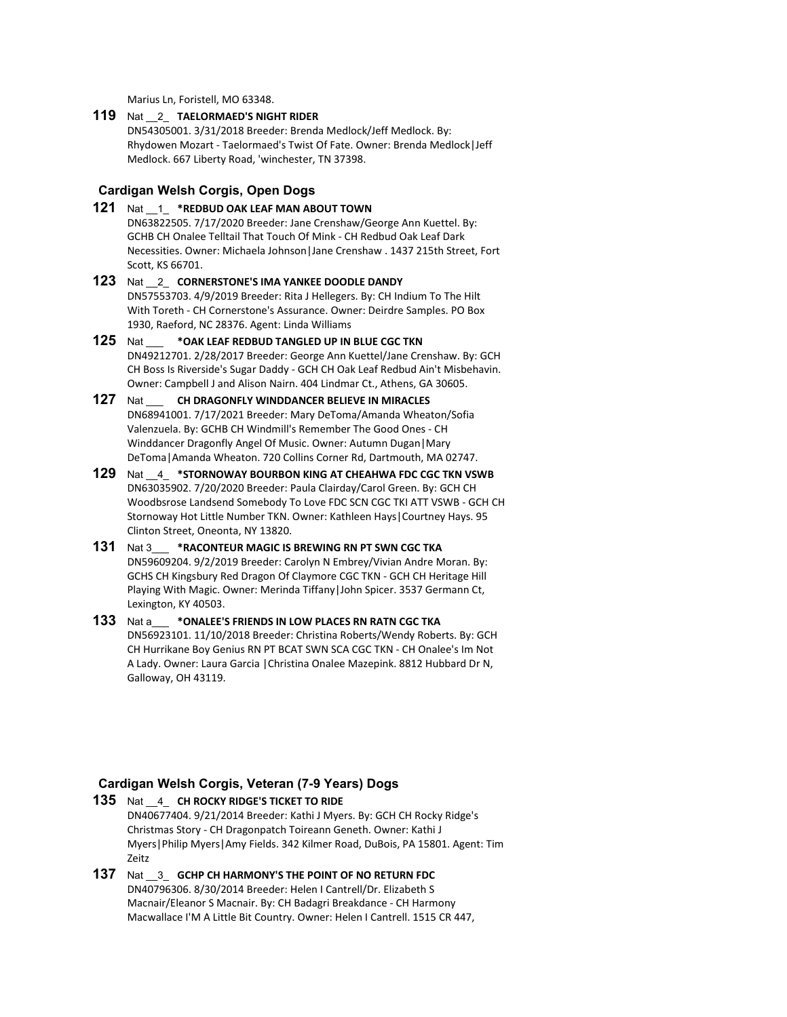Marius Ln, Foristell, MO 63348.

#### **119** Nat \_\_2\_ **TAELORMAED'S NIGHT RIDER**

DN54305001. 3/31/2018 Breeder: Brenda Medlock/Jeff Medlock. By: Rhydowen Mozart - Taelormaed's Twist Of Fate. Owner: Brenda Medlock|Jeff Medlock. 667 Liberty Road, 'winchester, TN 37398.

## **Cardigan Welsh Corgis, Open Dogs**

- **121** Nat \_\_1\_ **\*REDBUD OAK LEAF MAN ABOUT TOWN** DN63822505. 7/17/2020 Breeder: Jane Crenshaw/George Ann Kuettel. By: GCHB CH Onalee Telltail That Touch Of Mink - CH Redbud Oak Leaf Dark Necessities. Owner: Michaela Johnson|Jane Crenshaw . 1437 215th Street, Fort Scott, KS 66701.
- **123** Nat \_\_2\_ **CORNERSTONE'S IMA YANKEE DOODLE DANDY** DN57553703. 4/9/2019 Breeder: Rita J Hellegers. By: CH Indium To The Hilt With Toreth - CH Cornerstone's Assurance. Owner: Deirdre Samples. PO Box 1930, Raeford, NC 28376. Agent: Linda Williams
- **125** Nat \_\_\_ **\*OAK LEAF REDBUD TANGLED UP IN BLUE CGC TKN** DN49212701. 2/28/2017 Breeder: George Ann Kuettel/Jane Crenshaw. By: GCH CH Boss Is Riverside's Sugar Daddy - GCH CH Oak Leaf Redbud Ain't Misbehavin. Owner: Campbell J and Alison Nairn. 404 Lindmar Ct., Athens, GA 30605.
- **127** Nat \_\_\_ **CH DRAGONFLY WINDDANCER BELIEVE IN MIRACLES** DN68941001. 7/17/2021 Breeder: Mary DeToma/Amanda Wheaton/Sofia Valenzuela. By: GCHB CH Windmill's Remember The Good Ones - CH Winddancer Dragonfly Angel Of Music. Owner: Autumn Dugan|Mary DeToma|Amanda Wheaton. 720 Collins Corner Rd, Dartmouth, MA 02747.
- **129** Nat \_\_4\_ **\*STORNOWAY BOURBON KING AT CHEAHWA FDC CGC TKN VSWB** DN63035902. 7/20/2020 Breeder: Paula Clairday/Carol Green. By: GCH CH Woodbsrose Landsend Somebody To Love FDC SCN CGC TKI ATT VSWB - GCH CH Stornoway Hot Little Number TKN. Owner: Kathleen Hays|Courtney Hays. 95 Clinton Street, Oneonta, NY 13820.
- **131** Nat 3\_\_\_ **\*RACONTEUR MAGIC IS BREWING RN PT SWN CGC TKA** DN59609204. 9/2/2019 Breeder: Carolyn N Embrey/Vivian Andre Moran. By: GCHS CH Kingsbury Red Dragon Of Claymore CGC TKN - GCH CH Heritage Hill Playing With Magic. Owner: Merinda Tiffany|John Spicer. 3537 Germann Ct, Lexington, KY 40503.
- **133** Nat a\_\_\_ **\*ONALEE'S FRIENDS IN LOW PLACES RN RATN CGC TKA** DN56923101. 11/10/2018 Breeder: Christina Roberts/Wendy Roberts. By: GCH CH Hurrikane Boy Genius RN PT BCAT SWN SCA CGC TKN - CH Onalee's Im Not A Lady. Owner: Laura Garcia |Christina Onalee Mazepink. 8812 Hubbard Dr N, Galloway, OH 43119.

## **Cardigan Welsh Corgis, Veteran (7-9 Years) Dogs**

- **135** Nat \_\_4\_ **CH ROCKY RIDGE'S TICKET TO RIDE** DN40677404. 9/21/2014 Breeder: Kathi J Myers. By: GCH CH Rocky Ridge's Christmas Story - CH Dragonpatch Toireann Geneth. Owner: Kathi J Myers|Philip Myers|Amy Fields. 342 Kilmer Road, DuBois, PA 15801. Agent: Tim Zeitz
- **137** Nat \_\_3\_ **GCHP CH HARMONY'S THE POINT OF NO RETURN FDC** DN40796306. 8/30/2014 Breeder: Helen I Cantrell/Dr. Elizabeth S Macnair/Eleanor S Macnair. By: CH Badagri Breakdance - CH Harmony Macwallace I'M A Little Bit Country. Owner: Helen I Cantrell. 1515 CR 447,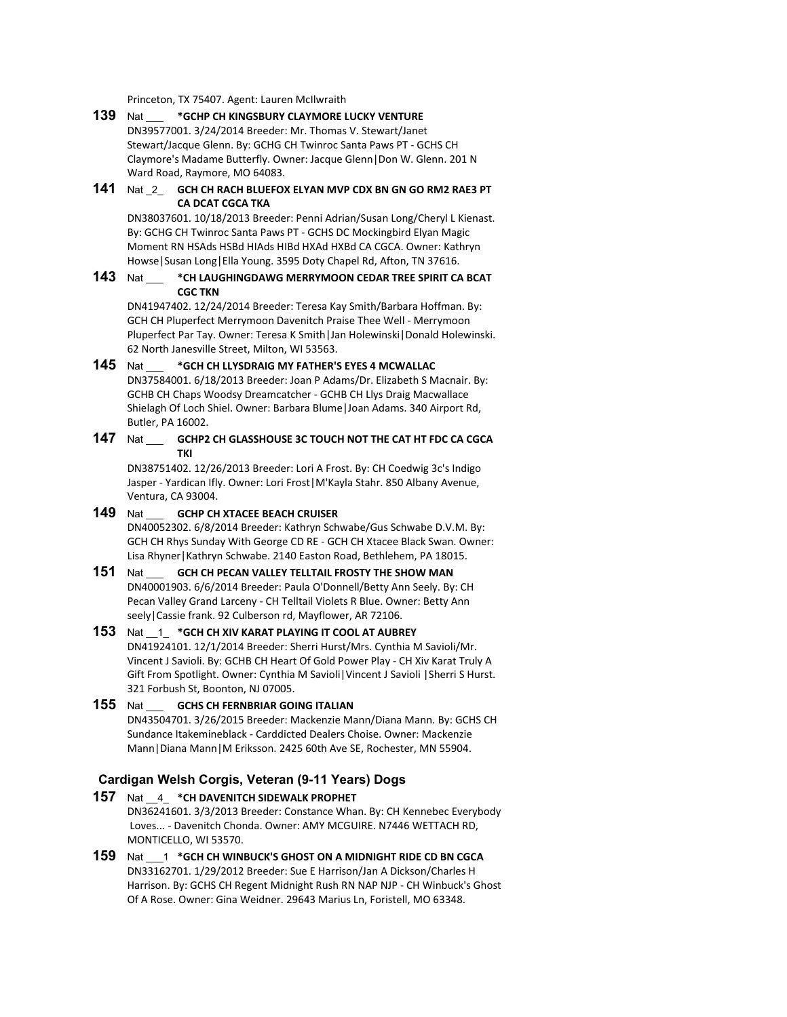Princeton, TX 75407. Agent: Lauren McIlwraith

#### **139** Nat \_\_\_ **\*GCHP CH KINGSBURY CLAYMORE LUCKY VENTURE** DN39577001. 3/24/2014 Breeder: Mr. Thomas V. Stewart/Janet Stewart/Jacque Glenn. By: GCHG CH Twinroc Santa Paws PT - GCHS CH Claymore's Madame Butterfly. Owner: Jacque Glenn|Don W. Glenn. 201 N Ward Road, Raymore, MO 64083.

## **141** Nat \_2\_ **GCH CH RACH BLUEFOX ELYAN MVP CDX BN GN GO RM2 RAE3 PT CA DCAT CGCA TKA**

DN38037601. 10/18/2013 Breeder: Penni Adrian/Susan Long/Cheryl L Kienast. By: GCHG CH Twinroc Santa Paws PT - GCHS DC Mockingbird Elyan Magic Moment RN HSAds HSBd HIAds HIBd HXAd HXBd CA CGCA. Owner: Kathryn Howse|Susan Long|Ella Young. 3595 Doty Chapel Rd, Afton, TN 37616.

## **143** Nat \_\_\_ **\*CH LAUGHINGDAWG MERRYMOON CEDAR TREE SPIRIT CA BCAT CGC TKN**

DN41947402. 12/24/2014 Breeder: Teresa Kay Smith/Barbara Hoffman. By: GCH CH Pluperfect Merrymoon Davenitch Praise Thee Well - Merrymoon Pluperfect Par Tay. Owner: Teresa K Smith|Jan Holewinski|Donald Holewinski. 62 North Janesville Street, Milton, WI 53563.

## **145** Nat \_\_\_ **\*GCH CH LLYSDRAIG MY FATHER'S EYES 4 MCWALLAC** DN37584001. 6/18/2013 Breeder: Joan P Adams/Dr. Elizabeth S Macnair. By: GCHB CH Chaps Woodsy Dreamcatcher - GCHB CH Llys Draig Macwallace Shielagh Of Loch Shiel. Owner: Barbara Blume|Joan Adams. 340 Airport Rd, Butler, PA 16002.

## **147** Nat \_\_\_ **GCHP2 CH GLASSHOUSE 3C TOUCH NOT THE CAT HT FDC CA CGCA TKI**

DN38751402. 12/26/2013 Breeder: Lori A Frost. By: CH Coedwig 3c's Indigo Jasper - Yardican Ifly. Owner: Lori Frost|M'Kayla Stahr. 850 Albany Avenue, Ventura, CA 93004.

## **149** Nat \_\_\_ **GCHP CH XTACEE BEACH CRUISER**

DN40052302. 6/8/2014 Breeder: Kathryn Schwabe/Gus Schwabe D.V.M. By: GCH CH Rhys Sunday With George CD RE - GCH CH Xtacee Black Swan. Owner: Lisa Rhyner|Kathryn Schwabe. 2140 Easton Road, Bethlehem, PA 18015.

## **151** Nat \_\_\_ **GCH CH PECAN VALLEY TELLTAIL FROSTY THE SHOW MAN**

DN40001903. 6/6/2014 Breeder: Paula O'Donnell/Betty Ann Seely. By: CH Pecan Valley Grand Larceny - CH Telltail Violets R Blue. Owner: Betty Ann seely|Cassie frank. 92 Culberson rd, Mayflower, AR 72106.

## **153** Nat \_\_1\_ **\*GCH CH XIV KARAT PLAYING IT COOL AT AUBREY**

DN41924101. 12/1/2014 Breeder: Sherri Hurst/Mrs. Cynthia M Savioli/Mr. Vincent J Savioli. By: GCHB CH Heart Of Gold Power Play - CH Xiv Karat Truly A Gift From Spotlight. Owner: Cynthia M Savioli|Vincent J Savioli |Sherri S Hurst. 321 Forbush St, Boonton, NJ 07005.

## **155** Nat \_\_\_ **GCHS CH FERNBRIAR GOING ITALIAN**

DN43504701. 3/26/2015 Breeder: Mackenzie Mann/Diana Mann. By: GCHS CH Sundance Itakemineblack - Carddicted Dealers Choise. Owner: Mackenzie Mann|Diana Mann|M Eriksson. 2425 60th Ave SE, Rochester, MN 55904.

## **Cardigan Welsh Corgis, Veteran (9-11 Years) Dogs**

- **157** Nat \_\_4\_ **\*CH DAVENITCH SIDEWALK PROPHET** DN36241601. 3/3/2013 Breeder: Constance Whan. By: CH Kennebec Everybody Loves... - Davenitch Chonda. Owner: AMY MCGUIRE. N7446 WETTACH RD, MONTICELLO, WI 53570.
- **159** Nat \_\_\_1 **\*GCH CH WINBUCK'S GHOST ON A MIDNIGHT RIDE CD BN CGCA** DN33162701. 1/29/2012 Breeder: Sue E Harrison/Jan A Dickson/Charles H Harrison. By: GCHS CH Regent Midnight Rush RN NAP NJP - CH Winbuck's Ghost Of A Rose. Owner: Gina Weidner. 29643 Marius Ln, Foristell, MO 63348.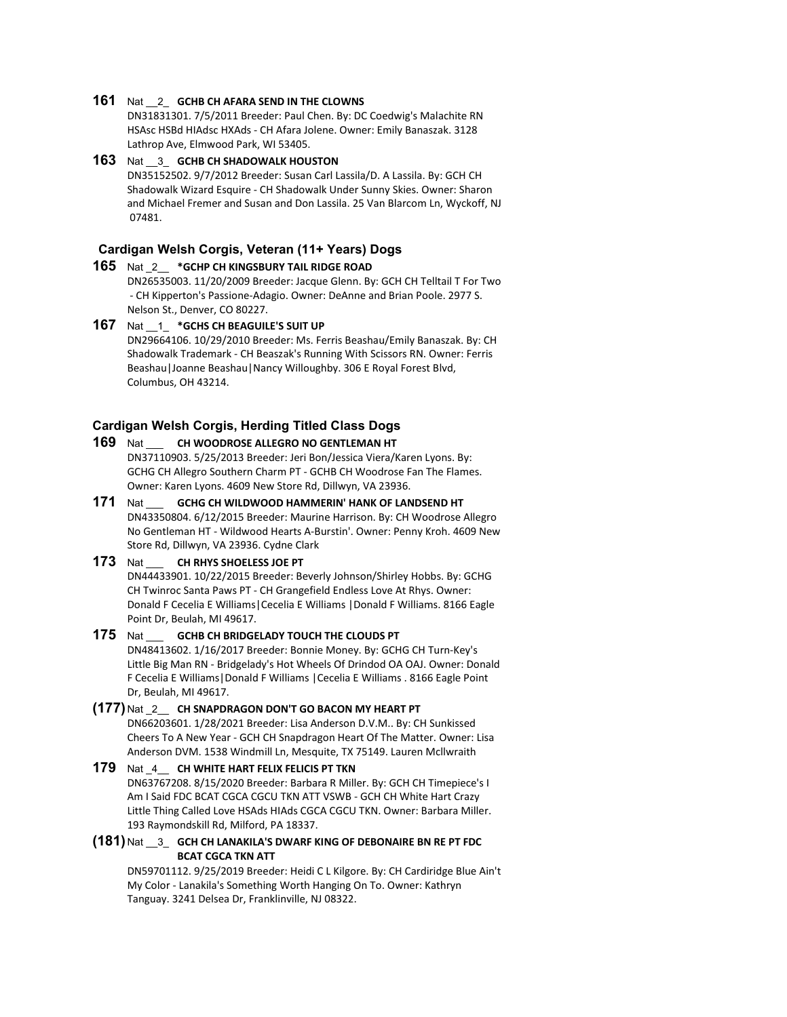#### **161** Nat \_\_2\_ **GCHB CH AFARA SEND IN THE CLOWNS**

DN31831301. 7/5/2011 Breeder: Paul Chen. By: DC Coedwig's Malachite RN HSAsc HSBd HIAdsc HXAds - CH Afara Jolene. Owner: Emily Banaszak. 3128 Lathrop Ave, Elmwood Park, WI 53405.

**163** Nat \_\_3\_ **GCHB CH SHADOWALK HOUSTON** DN35152502. 9/7/2012 Breeder: Susan Carl Lassila/D. A Lassila. By: GCH CH Shadowalk Wizard Esquire - CH Shadowalk Under Sunny Skies. Owner: Sharon and Michael Fremer and Susan and Don Lassila. 25 Van Blarcom Ln, Wyckoff, NJ 07481.

## **Cardigan Welsh Corgis, Veteran (11+ Years) Dogs**

- **165** Nat \_2\_\_ **\*GCHP CH KINGSBURY TAIL RIDGE ROAD** DN26535003. 11/20/2009 Breeder: Jacque Glenn. By: GCH CH Telltail T For Two - CH Kipperton's Passione-Adagio. Owner: DeAnne and Brian Poole. 2977 S. Nelson St., Denver, CO 80227.
- **167** Nat \_\_1\_ **\*GCHS CH BEAGUILE'S SUIT UP** DN29664106. 10/29/2010 Breeder: Ms. Ferris Beashau/Emily Banaszak. By: CH Shadowalk Trademark - CH Beaszak's Running With Scissors RN. Owner: Ferris Beashau|Joanne Beashau|Nancy Willoughby. 306 E Royal Forest Blvd, Columbus, OH 43214.

#### **Cardigan Welsh Corgis, Herding Titled Class Dogs**

## **169** Nat \_\_\_ **CH WOODROSE ALLEGRO NO GENTLEMAN HT**

DN37110903. 5/25/2013 Breeder: Jeri Bon/Jessica Viera/Karen Lyons. By: GCHG CH Allegro Southern Charm PT - GCHB CH Woodrose Fan The Flames. Owner: Karen Lyons. 4609 New Store Rd, Dillwyn, VA 23936.

#### **171** Nat \_\_\_ **GCHG CH WILDWOOD HAMMERIN' HANK OF LANDSEND HT** DN43350804. 6/12/2015 Breeder: Maurine Harrison. By: CH Woodrose Allegro No Gentleman HT - Wildwood Hearts A-Burstin'. Owner: Penny Kroh. 4609 New Store Rd, Dillwyn, VA 23936. Cydne Clark

## **173** Nat \_\_\_ **CH RHYS SHOELESS JOE PT**

DN44433901. 10/22/2015 Breeder: Beverly Johnson/Shirley Hobbs. By: GCHG CH Twinroc Santa Paws PT - CH Grangefield Endless Love At Rhys. Owner: Donald F Cecelia E Williams|Cecelia E Williams |Donald F Williams. 8166 Eagle Point Dr, Beulah, MI 49617.

#### **175** Nat \_\_\_ **GCHB CH BRIDGELADY TOUCH THE CLOUDS PT**

DN48413602. 1/16/2017 Breeder: Bonnie Money. By: GCHG CH Turn-Key's Little Big Man RN - Bridgelady's Hot Wheels Of Drindod OA OAJ. Owner: Donald F Cecelia E Williams|Donald F Williams |Cecelia E Williams . 8166 Eagle Point Dr, Beulah, MI 49617.

#### **(177)** Nat \_2\_\_ **CH SNAPDRAGON DON'T GO BACON MY HEART PT**

DN66203601. 1/28/2021 Breeder: Lisa Anderson D.V.M.. By: CH Sunkissed Cheers To A New Year - GCH CH Snapdragon Heart Of The Matter. Owner: Lisa Anderson DVM. 1538 Windmill Ln, Mesquite, TX 75149. Lauren Mcllwraith

#### **179** Nat \_4\_\_ **CH WHITE HART FELIX FELICIS PT TKN** DN63767208. 8/15/2020 Breeder: Barbara R Miller. By: GCH CH Timepiece's I Am I Said FDC BCAT CGCA CGCU TKN ATT VSWB - GCH CH White Hart Crazy Little Thing Called Love HSAds HIAds CGCA CGCU TKN. Owner: Barbara Miller. 193 Raymondskill Rd, Milford, PA 18337.

#### **(181)** Nat \_\_3\_ **GCH CH LANAKILA'S DWARF KING OF DEBONAIRE BN RE PT FDC BCAT CGCA TKN ATT**

DN59701112. 9/25/2019 Breeder: Heidi C L Kilgore. By: CH Cardiridge Blue Ain't My Color - Lanakila's Something Worth Hanging On To. Owner: Kathryn Tanguay. 3241 Delsea Dr, Franklinville, NJ 08322.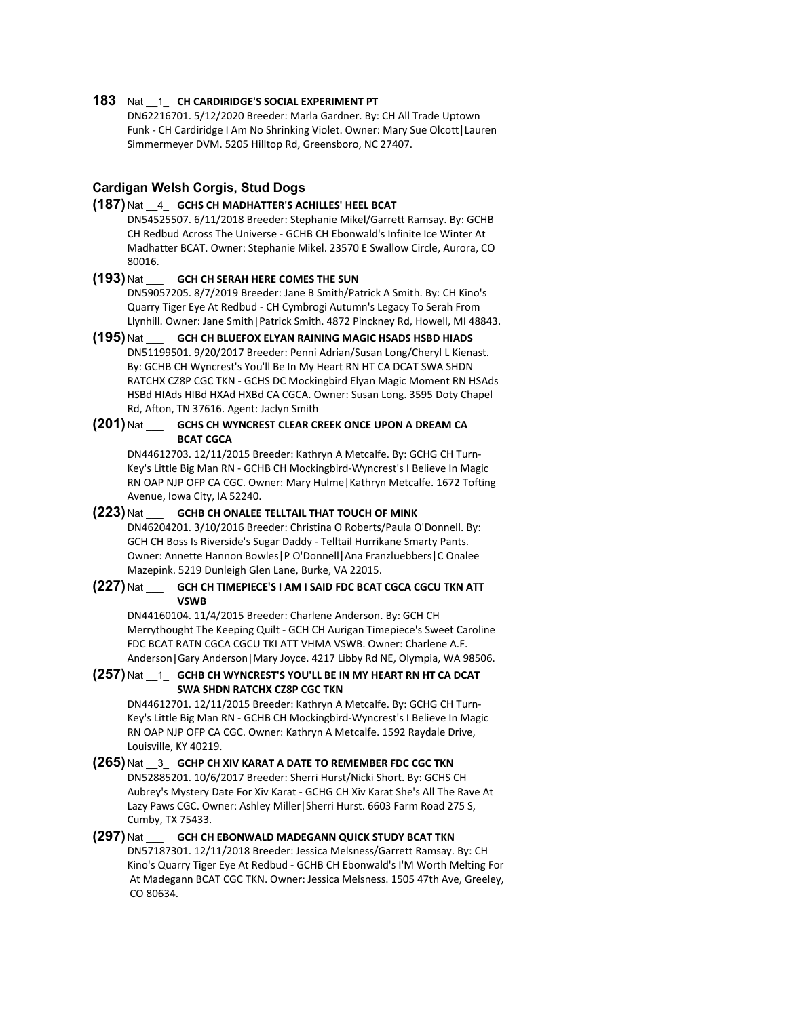#### **183** Nat \_\_1\_ **CH CARDIRIDGE'S SOCIAL EXPERIMENT PT**

DN62216701. 5/12/2020 Breeder: Marla Gardner. By: CH All Trade Uptown Funk - CH Cardiridge I Am No Shrinking Violet. Owner: Mary Sue Olcott|Lauren Simmermeyer DVM. 5205 Hilltop Rd, Greensboro, NC 27407.

## **Cardigan Welsh Corgis, Stud Dogs**

## **(187)** Nat \_\_4\_ **GCHS CH MADHATTER'S ACHILLES' HEEL BCAT**

DN54525507. 6/11/2018 Breeder: Stephanie Mikel/Garrett Ramsay. By: GCHB CH Redbud Across The Universe - GCHB CH Ebonwald's Infinite Ice Winter At Madhatter BCAT. Owner: Stephanie Mikel. 23570 E Swallow Circle, Aurora, CO 80016.

#### **(193)** Nat \_\_\_ **GCH CH SERAH HERE COMES THE SUN**

DN59057205. 8/7/2019 Breeder: Jane B Smith/Patrick A Smith. By: CH Kino's Quarry Tiger Eye At Redbud - CH Cymbrogi Autumn's Legacy To Serah From Llynhill. Owner: Jane Smith|Patrick Smith. 4872 Pinckney Rd, Howell, MI 48843.

**(195)** Nat \_\_\_ **GCH CH BLUEFOX ELYAN RAINING MAGIC HSADS HSBD HIADS** DN51199501. 9/20/2017 Breeder: Penni Adrian/Susan Long/Cheryl L Kienast. By: GCHB CH Wyncrest's You'll Be In My Heart RN HT CA DCAT SWA SHDN RATCHX CZ8P CGC TKN - GCHS DC Mockingbird Elyan Magic Moment RN HSAds HSBd HIAds HIBd HXAd HXBd CA CGCA. Owner: Susan Long. 3595 Doty Chapel Rd, Afton, TN 37616. Agent: Jaclyn Smith

#### **(201)** Nat \_\_\_ **GCHS CH WYNCREST CLEAR CREEK ONCE UPON A DREAM CA BCAT CGCA**

DN44612703. 12/11/2015 Breeder: Kathryn A Metcalfe. By: GCHG CH Turn-Key's Little Big Man RN - GCHB CH Mockingbird-Wyncrest's I Believe In Magic RN OAP NJP OFP CA CGC. Owner: Mary Hulme|Kathryn Metcalfe. 1672 Tofting Avenue, Iowa City, IA 52240.

#### **(223)** Nat \_\_\_ **GCHB CH ONALEE TELLTAIL THAT TOUCH OF MINK** DN46204201. 3/10/2016 Breeder: Christina O Roberts/Paula O'Donnell. By: GCH CH Boss Is Riverside's Sugar Daddy - Telltail Hurrikane Smarty Pants. Owner: Annette Hannon Bowles|P O'Donnell|Ana Franzluebbers|C Onalee Mazepink. 5219 Dunleigh Glen Lane, Burke, VA 22015.

#### **(227)** Nat \_\_\_ **GCH CH TIMEPIECE'S I AM I SAID FDC BCAT CGCA CGCU TKN ATT VSWB**

DN44160104. 11/4/2015 Breeder: Charlene Anderson. By: GCH CH Merrythought The Keeping Quilt - GCH CH Aurigan Timepiece's Sweet Caroline FDC BCAT RATN CGCA CGCU TKI ATT VHMA VSWB. Owner: Charlene A.F. Anderson|Gary Anderson|Mary Joyce. 4217 Libby Rd NE, Olympia, WA 98506.

#### **(257)** Nat \_\_1\_ **GCHB CH WYNCREST'S YOU'LL BE IN MY HEART RN HT CA DCAT SWA SHDN RATCHX CZ8P CGC TKN**

DN44612701. 12/11/2015 Breeder: Kathryn A Metcalfe. By: GCHG CH Turn-Key's Little Big Man RN - GCHB CH Mockingbird-Wyncrest's I Believe In Magic RN OAP NJP OFP CA CGC. Owner: Kathryn A Metcalfe. 1592 Raydale Drive, Louisville, KY 40219.

**(265)** Nat \_\_3\_ **GCHP CH XIV KARAT A DATE TO REMEMBER FDC CGC TKN** DN52885201. 10/6/2017 Breeder: Sherri Hurst/Nicki Short. By: GCHS CH Aubrey's Mystery Date For Xiv Karat - GCHG CH Xiv Karat She's All The Rave At Lazy Paws CGC. Owner: Ashley Miller|Sherri Hurst. 6603 Farm Road 275 S, Cumby, TX 75433.

**(297)** Nat \_\_\_ **GCH CH EBONWALD MADEGANN QUICK STUDY BCAT TKN** DN57187301. 12/11/2018 Breeder: Jessica Melsness/Garrett Ramsay. By: CH Kino's Quarry Tiger Eye At Redbud - GCHB CH Ebonwald's I'M Worth Melting For At Madegann BCAT CGC TKN. Owner: Jessica Melsness. 1505 47th Ave, Greeley, CO 80634.